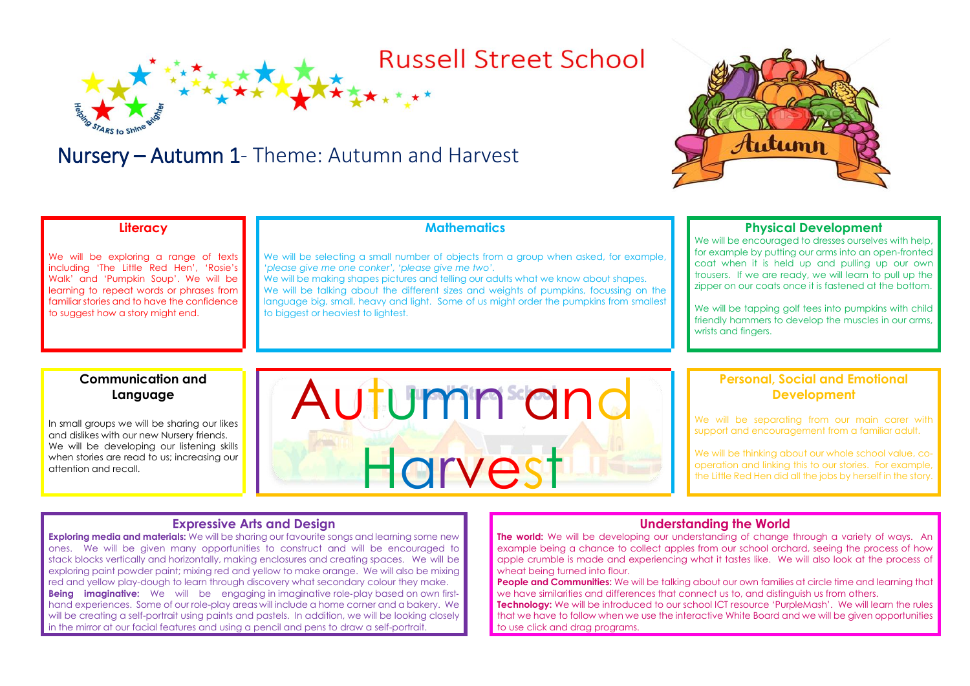# **Russell Street School**

# Nursery – Autumn 1- Theme: Autumn and Harvest



## **Literacy**

We will be exploring a range of texts including 'The Little Red Hen', 'Rosie's Walk' and 'Pumpkin Soup'. We will be learning to repeat words or phrases from familiar stories and to have the confidence to suggest how a story might end.

## **Mathematics**

We will be selecting a small number of objects from a group when asked, for example, *'please give me one conker', 'please give me two'.* 

We will be making shapes pictures and telling our adults what we know about shapes. We will be talking about the different sizes and weights of pumpkins, focussing on the language big, small, heavy and light. Some of us might order the pumpkins from smallest to biggest or heaviest to lightest.

#### **Physical Development**

We will be encouraged to dresses ourselves with help. for example by putting our arms into an open-fronted coat when it is held up and pulling up our own trousers. If we are ready, we will learn to pull up the zipper on our coats once it is fastened at the bottom.

We will be tapping golf tees into pumpkins with child friendly hammers to develop the muscles in our arms, wrists and fingers.

#### **Communication and Language**

In small groups we will be sharing our likes and dislikes with our new Nursery friends. We will be developing our listening skills when stories are read to us; increasing our attention and recall.



#### **Personal, Social and Emotional Development**

We will be separating from our main carer with support and encouragement from a familiar adult.

We will be thinking about our whole school value, cooperation and linking this to our stories. For example, the Little Red Hen did all the jobs by herself in the story.

#### **Expressive Arts and Design**

**Exploring media and materials:** We will be sharing our favourite songs and learning some new ones. We will be given many opportunities to construct and will be encouraged to stack blocks vertically and horizontally, making enclosures and creating spaces. We will be exploring paint powder paint; mixing red and yellow to make orange. We will also be mixing red and yellow play-dough to learn through discovery what secondary colour they make. **Being imaginative:** We will be engaging in imaginative role-play based on own firsthand experiences. Some of our role-play areas will include a home corner and a bakery. We will be creating a self-portrait using paints and pastels. In addition, we will be looking closely in the mirror at our facial features and using a pencil and pens to draw a self-portrait.

#### **Understanding the World**

**The world:** We will be developing our understanding of change through a variety of ways. An example being a chance to collect apples from our school orchard, seeing the process of how apple crumble is made and experiencing what it tastes like. We will also look at the process of wheat being turned into flour.

**People and Communities:** We will be talking about our own families at circle time and learning that we have similarities and differences that connect us to, and distinguish us from others.

**Technology:** We will be introduced to our school ICT resource 'PurpleMash'. We will learn the rules that we have to follow when we use the interactive White Board and we will be given opportunities to use click and drag programs.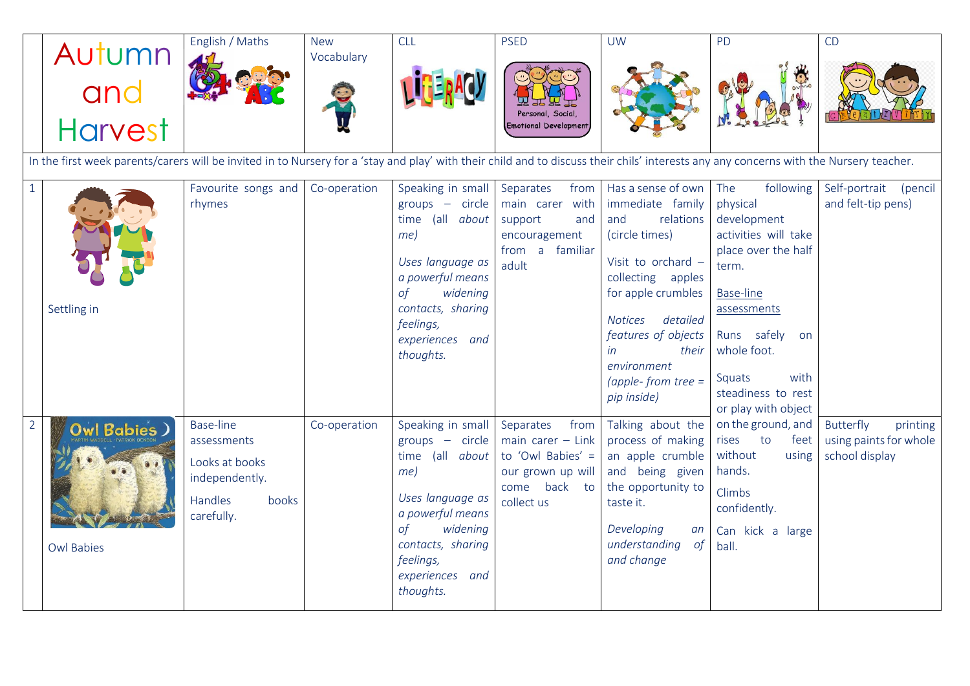|                | Autumn<br>and<br>Harvest                                                                                                                                                               | English / Maths                                                                                              | <b>New</b><br>Vocabulary | <b>CLL</b>                                                                                                                                                                                             | <b>PSED</b><br>Personal, Social,<br><b>Emotional Development</b>                                                 | <b>UW</b>                                                                                                                                                                                                                                                                   | PD                                                                                                                                                                                                                          | CD                                                                |
|----------------|----------------------------------------------------------------------------------------------------------------------------------------------------------------------------------------|--------------------------------------------------------------------------------------------------------------|--------------------------|--------------------------------------------------------------------------------------------------------------------------------------------------------------------------------------------------------|------------------------------------------------------------------------------------------------------------------|-----------------------------------------------------------------------------------------------------------------------------------------------------------------------------------------------------------------------------------------------------------------------------|-----------------------------------------------------------------------------------------------------------------------------------------------------------------------------------------------------------------------------|-------------------------------------------------------------------|
|                |                                                                                                                                                                                        |                                                                                                              |                          |                                                                                                                                                                                                        |                                                                                                                  |                                                                                                                                                                                                                                                                             |                                                                                                                                                                                                                             |                                                                   |
|                | In the first week parents/carers will be invited in to Nursery for a 'stay and play' with their child and to discuss their chils' interests any any concerns with the Nursery teacher. |                                                                                                              |                          |                                                                                                                                                                                                        |                                                                                                                  |                                                                                                                                                                                                                                                                             |                                                                                                                                                                                                                             |                                                                   |
| $1\,$          | Settling in                                                                                                                                                                            | Favourite songs and<br>rhymes                                                                                | Co-operation             | Speaking in small<br>$groups - circle$<br>time (all about<br>$me$ )<br>Uses language as<br>a powerful means<br>of<br>widening<br>contacts, sharing<br>feelings,<br>experiences and<br>thoughts.        | Separates<br>from<br>main carer with<br>support<br>and<br>encouragement<br>from a familiar<br>adult              | Has a sense of own The<br>immediate family<br>and<br>relations<br>(circle times)<br>Visit to orchard -<br>collecting apples<br>for apple crumbles<br><b>Notices</b><br>detailed<br>features of objects<br>in<br>their<br>environment<br>(apple-from tree $=$<br>pip inside) | following<br>physical<br>development<br>activities will take<br>place over the half<br>term.<br>Base-line<br>assessments<br>Runs safely<br>on<br>whole foot.<br>with<br>Squats<br>steadiness to rest<br>or play with object | Self-portrait (pencil<br>and felt-tip pens)                       |
| $\overline{2}$ | Owl Babies )<br><b>Owl Babies</b>                                                                                                                                                      | <b>Base-line</b><br>assessments<br>Looks at books<br>independently.<br><b>Handles</b><br>books<br>carefully. | Co-operation             | Speaking in small<br>$groups - circle$<br>time (all about<br>$me$ )<br>Uses language as<br>a powerful means<br>widening<br>$\circ f$<br>contacts, sharing<br>feelings,<br>experiences and<br>thoughts. | Separates<br>from<br>main carer $-$ Link<br>to 'Owl Babies' =<br>our grown up will<br>come back to<br>collect us | Talking about the<br>process of making<br>an apple crumble<br>and being given<br>the opportunity to<br>taste it.<br>Developing<br>an<br>understanding<br>$\circ f$<br>and change                                                                                            | on the ground, and<br>rises to<br>feet<br>without<br>using<br>hands.<br>Climbs<br>confidently.<br>Can kick a large<br>ball.                                                                                                 | Butterfly<br>printing<br>using paints for whole<br>school display |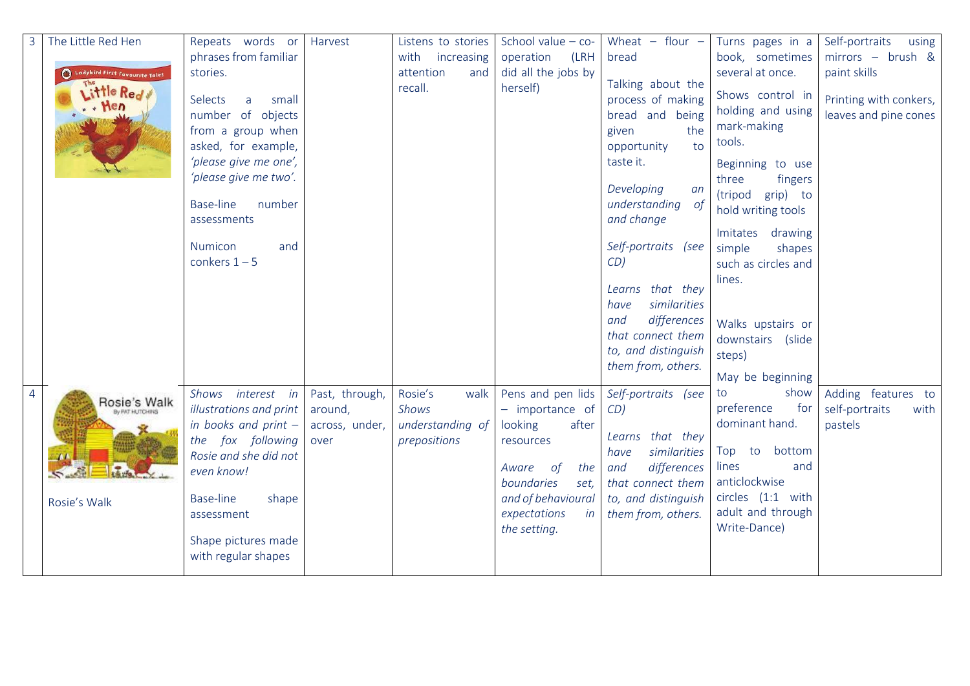| $\overline{3}$ | The Little Red Hen                                    | Repeats words or                                                                                                                                                                                                                       | Harvest                | Listens to stories               | School value $-$ co-                                                      | Wheat $-$ flour $-$                                                                                                                                                                                                                                                                                                                 | Turns pages in a                                                                                                                                                                                                                                                                                                            | Self-portraits<br>using                                         |
|----------------|-------------------------------------------------------|----------------------------------------------------------------------------------------------------------------------------------------------------------------------------------------------------------------------------------------|------------------------|----------------------------------|---------------------------------------------------------------------------|-------------------------------------------------------------------------------------------------------------------------------------------------------------------------------------------------------------------------------------------------------------------------------------------------------------------------------------|-----------------------------------------------------------------------------------------------------------------------------------------------------------------------------------------------------------------------------------------------------------------------------------------------------------------------------|-----------------------------------------------------------------|
|                |                                                       | phrases from familiar                                                                                                                                                                                                                  |                        | with<br>increasing               | operation<br>(LRH                                                         | bread                                                                                                                                                                                                                                                                                                                               | book, sometimes                                                                                                                                                                                                                                                                                                             | mirrors - brush &                                               |
|                | I Ladybird First Favourite Tales<br>Little Red<br>Hen | stories.<br>small<br>Selects<br>a<br>number of objects<br>from a group when<br>asked, for example,<br>'please give me one',<br>'please give me two'.<br><b>Base-line</b><br>number<br>assessments<br>Numicon<br>and<br>conkers $1 - 5$ |                        | attention<br>and<br>recall.      | did all the jobs by<br>herself)                                           | Talking about the<br>process of making<br>bread and being<br>given<br>the<br>opportunity<br>to<br>taste it.<br>Developing<br>an<br>understanding of<br>and change<br>Self-portraits (see<br>CD)<br>Learns that they<br>similarities<br>have<br>differences<br>and<br>that connect them<br>to, and distinguish<br>them from, others. | several at once.<br>Shows control in<br>holding and using<br>mark-making<br>tools.<br>Beginning to use<br>three<br>fingers<br>(tripod<br>grip) to<br>hold writing tools<br>Imitates<br>drawing<br>simple<br>shapes<br>such as circles and<br>lines.<br>Walks upstairs or<br>downstairs (slide<br>steps)<br>May be beginning | paint skills<br>Printing with conkers,<br>leaves and pine cones |
| $\overline{4}$ |                                                       | Shows interest in                                                                                                                                                                                                                      | Past, through,         | Rosie's<br>walk                  | Pens and pen lids                                                         | Self-portraits (see                                                                                                                                                                                                                                                                                                                 | show<br>to                                                                                                                                                                                                                                                                                                                  | Adding features to                                              |
|                | Rosie's Walk                                          | illustrations and print                                                                                                                                                                                                                | around,                | Shows                            | - importance of                                                           | CD)                                                                                                                                                                                                                                                                                                                                 | preference<br>for                                                                                                                                                                                                                                                                                                           | self-portraits<br>with                                          |
|                |                                                       | in books and print $-$<br>the fox following<br>Rosie and she did not<br>even know!                                                                                                                                                     | across, under,<br>over | understanding of<br>prepositions | looking<br>after<br>resources<br>of<br>the<br>Aware<br>boundaries<br>set, | Learns that they<br>similarities<br>have<br>differences<br>and<br>that connect them                                                                                                                                                                                                                                                 | dominant hand.<br>Top to bottom<br>lines<br>and<br>anticlockwise                                                                                                                                                                                                                                                            | pastels                                                         |
|                | Rosie's Walk                                          | Base-line<br>shape                                                                                                                                                                                                                     |                        |                                  | and of behavioural                                                        | to, and distinguish                                                                                                                                                                                                                                                                                                                 | circles (1:1 with                                                                                                                                                                                                                                                                                                           |                                                                 |
|                |                                                       | assessment                                                                                                                                                                                                                             |                        |                                  | expectations<br>in<br>the setting.                                        | them from, others.                                                                                                                                                                                                                                                                                                                  | adult and through<br>Write-Dance)                                                                                                                                                                                                                                                                                           |                                                                 |
|                |                                                       | Shape pictures made<br>with regular shapes                                                                                                                                                                                             |                        |                                  |                                                                           |                                                                                                                                                                                                                                                                                                                                     |                                                                                                                                                                                                                                                                                                                             |                                                                 |